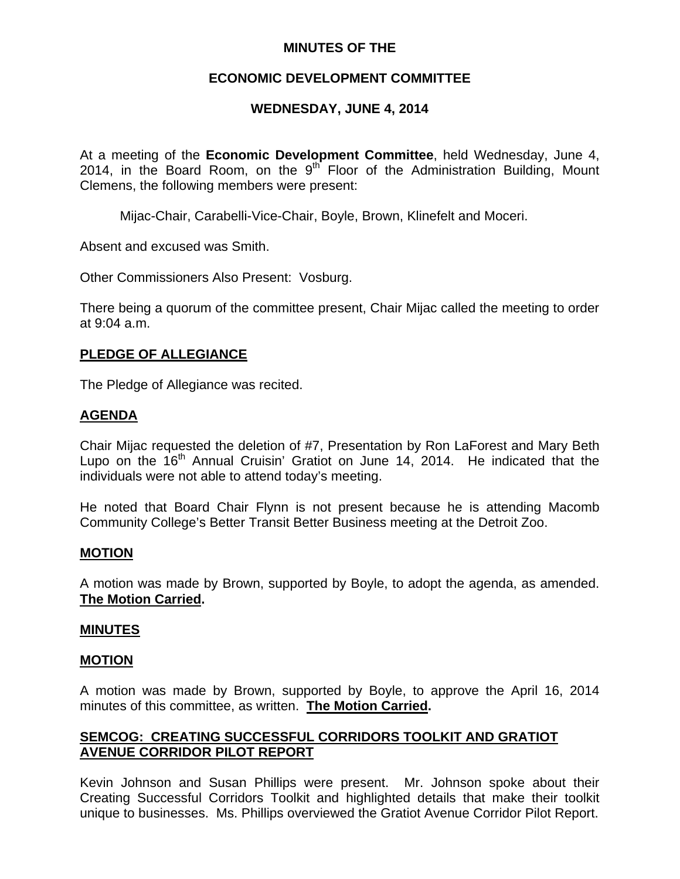## **MINUTES OF THE**

## **ECONOMIC DEVELOPMENT COMMITTEE**

# **WEDNESDAY, JUNE 4, 2014**

At a meeting of the **Economic Development Committee**, held Wednesday, June 4, 2014, in the Board Room, on the  $9<sup>th</sup>$  Floor of the Administration Building, Mount Clemens, the following members were present:

Mijac-Chair, Carabelli-Vice-Chair, Boyle, Brown, Klinefelt and Moceri.

Absent and excused was Smith.

Other Commissioners Also Present: Vosburg.

There being a quorum of the committee present, Chair Mijac called the meeting to order at 9:04 a.m.

## **PLEDGE OF ALLEGIANCE**

The Pledge of Allegiance was recited.

## **AGENDA**

Chair Mijac requested the deletion of #7, Presentation by Ron LaForest and Mary Beth Lupo on the  $16<sup>th</sup>$  Annual Cruisin' Gratiot on June 14, 2014. He indicated that the individuals were not able to attend today's meeting.

He noted that Board Chair Flynn is not present because he is attending Macomb Community College's Better Transit Better Business meeting at the Detroit Zoo.

### **MOTION**

A motion was made by Brown, supported by Boyle, to adopt the agenda, as amended. **The Motion Carried.** 

### **MINUTES**

#### **MOTION**

A motion was made by Brown, supported by Boyle, to approve the April 16, 2014 minutes of this committee, as written. **The Motion Carried.** 

# **SEMCOG: CREATING SUCCESSFUL CORRIDORS TOOLKIT AND GRATIOT AVENUE CORRIDOR PILOT REPORT**

Kevin Johnson and Susan Phillips were present. Mr. Johnson spoke about their Creating Successful Corridors Toolkit and highlighted details that make their toolkit unique to businesses. Ms. Phillips overviewed the Gratiot Avenue Corridor Pilot Report.